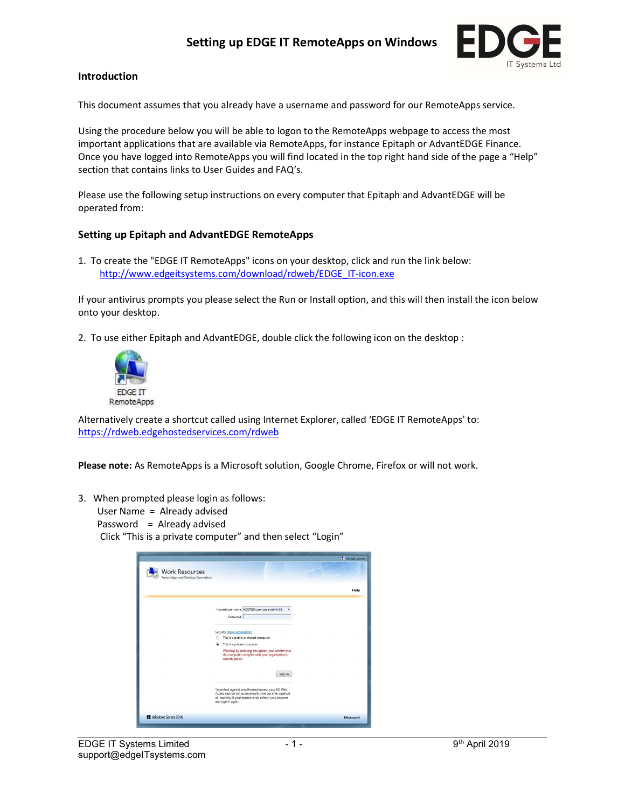## Setting up EDGE IT RemoteApps on Windows



## Introduction

This document assumes that you already have a username and password for our RemoteApps service.

Using the procedure below you will be able to logon to the RemoteApps webpage to access the most important applications that are available via RemoteApps, for instance Epitaph or AdvantEDGE Finance. Once you have logged into RemoteApps you will find located in the top right hand side of the page a "Help" section that contains links to User Guides and FAQ's.

Please use the following setup instructions on every computer that Epitaph and AdvantEDGE will be operated from:

## Setting up Epitaph and AdvantEDGE RemoteApps

1. To create the "EDGE IT RemoteApps" icons on your desktop, click and run the link below: http://www.edgeitsystems.com/download/rdweb/EDGE\_IT-icon.exe

If your antivirus prompts you please select the Run or Install option, and this will then install the icon below onto your desktop.

2. To use either Epitaph and AdvantEDGE, double click the following icon on the desktop :



Alternatively create a shortcut called using Internet Explorer, called 'EDGE IT RemoteApps' to: https://rdweb.edgehostedservices.com/rdweb

Please note: As RemoteApps is a Microsoft solution, Google Chrome, Firefox or will not work.

- 3. When prompted please login as follows:
	- User Name = Already advised

Password = Already advised

Click "This is a private computer" and then select "Login"

|                                                           |                                                                                                                                                                                                     | <b>P</b> RD Web Access |
|-----------------------------------------------------------|-----------------------------------------------------------------------------------------------------------------------------------------------------------------------------------------------------|------------------------|
| <b>Work Resources</b><br>RemoteApp and Desktop Connection |                                                                                                                                                                                                     |                        |
|                                                           |                                                                                                                                                                                                     | Help                   |
|                                                           | hosted\user name: HOSTED\username-admin01<br>$\times$<br>Password:                                                                                                                                  |                        |
|                                                           | Security (show explanation)<br>This is a public or shared computer                                                                                                                                  |                        |
|                                                           | This is a private computer<br>Warning: By selecting this option, you confirm that<br>this computer complies with your organization's<br>security policy.                                            |                        |
|                                                           | Sign in                                                                                                                                                                                             |                        |
|                                                           | To protect against unauthorized access, your RD Web<br>Access session will automatically time out after a period<br>of inactivity. If your session ends, refresh your browser<br>and sign in again. |                        |
| Windows Server 2016                                       |                                                                                                                                                                                                     | Microsoft              |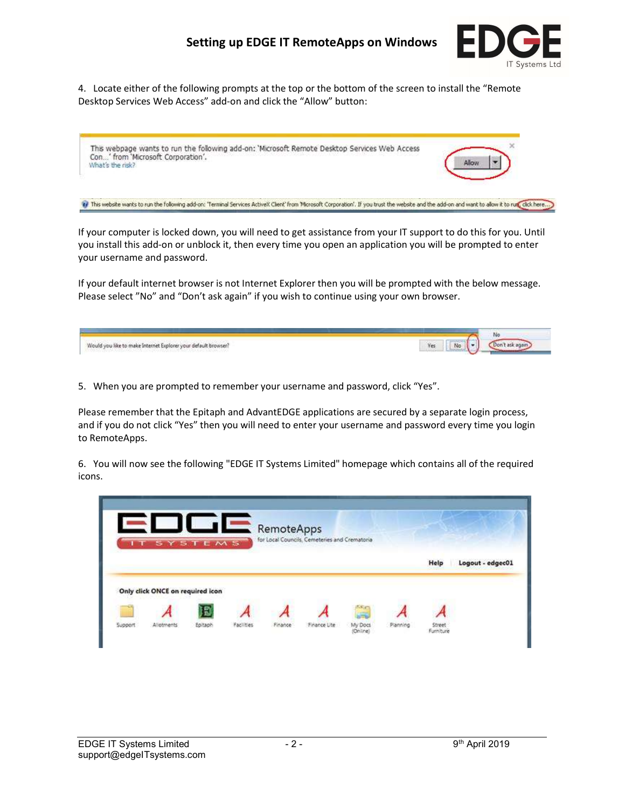## Setting up EDGE IT RemoteApps on Windows



4. Locate either of the following prompts at the top or the bottom of the screen to install the "Remote Desktop Services Web Access" add-on and click the "Allow" button:



If your computer is locked down, you will need to get assistance from your IT support to do this for you. Until you install this add-on or unblock it, then every time you open an application you will be prompted to enter your username and password.

If your default internet browser is not Internet Explorer then you will be prompted with the below message. Please select "No" and "Don't ask again" if you wish to continue using your own browser.

| Would you like to make Internet Explorer your default browser?<br>오늘은 아이의 승규 난 아이가 아직 없었다. 어머지는 아이는 아이가 아니라 이 아이가 없었다. | <b>Yes</b> | No |
|------------------------------------------------------------------------------------------------------------------------|------------|----|
|------------------------------------------------------------------------------------------------------------------------|------------|----|

5. When you are prompted to remember your username and password, click "Yes".

Please remember that the Epitaph and AdvantEDGE applications are secured by a separate login process, and if you do not click "Yes" then you will need to enter your username and password every time you login to RemoteApps.

6. You will now see the following "EDGE IT Systems Limited" homepage which contains all of the required icons.

| T SYSTEMS                        |   | RemoteApps | for Local Councils, Cemeteries and Crematoria |          |      |                  |
|----------------------------------|---|------------|-----------------------------------------------|----------|------|------------------|
|                                  |   |            |                                               |          | Help | Logout - edgec01 |
|                                  |   |            |                                               |          |      |                  |
| Only click ONCE on required icon |   |            |                                               |          |      |                  |
|                                  | п |            |                                               | $\equiv$ |      |                  |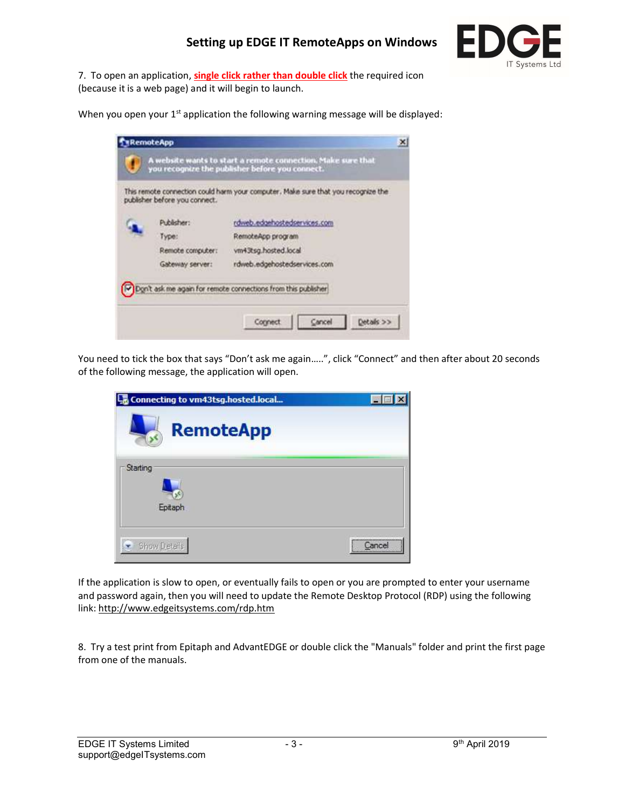

7. To open an application, single click rather than double click the required icon (because it is a web page) and it will begin to launch.

When you open your 1<sup>st</sup> application the following warning message will be displayed:

| publisher before you connect. | This remote connection could harm your computer. Make sure that you recognize the |
|-------------------------------|-----------------------------------------------------------------------------------|
| Publisher:                    | rdweb.edgehostedservices.com                                                      |
| Type:                         | RemoteApp program                                                                 |
| Remote computer:              | vm43tsg.hosted.local                                                              |
| <b>Gateway server:</b>        | rdweb.edgehostedservices.com                                                      |
|                               | Don't ask me again for remote connections from this publisher                     |

You need to tick the box that says "Don't ask me again.....", click "Connect" and then after about 20 seconds of the following message, the application will open.

| Connecting to vm43tsg.hosted.local |                                              |
|------------------------------------|----------------------------------------------|
| <b>RemoteApp</b>                   |                                              |
| Starting<br>Epitaph                |                                              |
| Show Details                       | <br>Cancel<br>****************************** |

If the application is slow to open, or eventually fails to open or you are prompted to enter your username and password again, then you will need to update the Remote Desktop Protocol (RDP) using the following link: http://www.edgeitsystems.com/rdp.htm

8. Try a test print from Epitaph and AdvantEDGE or double click the "Manuals" folder and print the first page from one of the manuals.